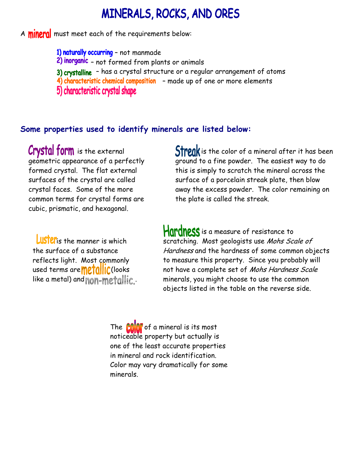## MINERALS, ROCKS, AND ORES

A **mineral** must meet each of the requirements below:

1) naturally occurring - not manmade

- 2) inorganic not formed from plants or animals
- **3) crystalline** has a crystal structure or a regular arrangement of atoms
- 4) characteristic chemical composition made up of one or more elements

5) characteristic crystal shape

## **Some properties used to identify minerals are listed below:**

Crystal form is the external geometric appearance of a perfectly formed crystal. The flat external surfaces of the crystal are called crystal faces. Some of the more common terms for crystal forms are cubic, prismatic, and hexagonal.

**LUSTE** is the manner is which the surface of a substance reflects light. Most commonly used terms are **MetallIC** (looks like a metal) and  $non-metalli$ . **Streak** is the color of a mineral after it has been ground to a fine powder. The easiest way to do this is simply to scratch the mineral across the surface of a porcelain streak plate, then blow away the excess powder. The color remaining on the plate is called the streak.

**Hardness** is a measure of resistance to scratching. Most geologists use Mohs Scale of Hardness and the hardness of some common objects to measure this property. Since you probably will not have a complete set of Mohs Hardness Scale minerals, you might choose to use the common objects listed in the table on the reverse side.

The  $\mathbb{C} \mathbb{O}$  of a mineral is its most noticeable property but actually is one of the least accurate properties in mineral and rock identification. Color may vary dramatically for some minerals.